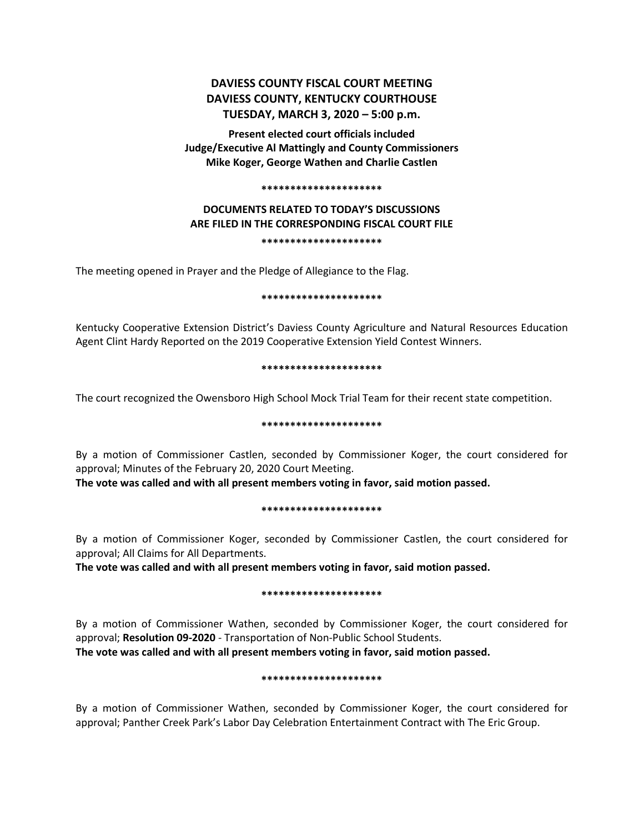# **DAVIESS COUNTY FISCAL COURT MEETING DAVIESS COUNTY, KENTUCKY COURTHOUSE TUESDAY, MARCH 3, 2020 – 5:00 p.m.**

**Present elected court officials included Judge/Executive Al Mattingly and County Commissioners Mike Koger, George Wathen and Charlie Castlen**

#### **\*\*\*\*\*\*\*\*\*\*\*\*\*\*\*\*\*\*\*\*\***

## **DOCUMENTS RELATED TO TODAY'S DISCUSSIONS ARE FILED IN THE CORRESPONDING FISCAL COURT FILE \*\*\*\*\*\*\*\*\*\*\*\*\*\*\*\*\*\*\*\*\***

The meeting opened in Prayer and the Pledge of Allegiance to the Flag.

#### **\*\*\*\*\*\*\*\*\*\*\*\*\*\*\*\*\*\*\*\*\***

Kentucky Cooperative Extension District's Daviess County Agriculture and Natural Resources Education Agent Clint Hardy Reported on the 2019 Cooperative Extension Yield Contest Winners.

#### **\*\*\*\*\*\*\*\*\*\*\*\*\*\*\*\*\*\*\*\*\***

The court recognized the Owensboro High School Mock Trial Team for their recent state competition.

## **\*\*\*\*\*\*\*\*\*\*\*\*\*\*\*\*\*\*\*\*\***

By a motion of Commissioner Castlen, seconded by Commissioner Koger, the court considered for approval; Minutes of the February 20, 2020 Court Meeting.

**The vote was called and with all present members voting in favor, said motion passed.** 

#### **\*\*\*\*\*\*\*\*\*\*\*\*\*\*\*\*\*\*\*\*\***

By a motion of Commissioner Koger, seconded by Commissioner Castlen, the court considered for approval; All Claims for All Departments.

**The vote was called and with all present members voting in favor, said motion passed.** 

## **\*\*\*\*\*\*\*\*\*\*\*\*\*\*\*\*\*\*\*\*\***

By a motion of Commissioner Wathen, seconded by Commissioner Koger, the court considered for approval; **Resolution 09-2020** - Transportation of Non-Public School Students. **The vote was called and with all present members voting in favor, said motion passed.** 

## **\*\*\*\*\*\*\*\*\*\*\*\*\*\*\*\*\*\*\*\*\***

By a motion of Commissioner Wathen, seconded by Commissioner Koger, the court considered for approval; Panther Creek Park's Labor Day Celebration Entertainment Contract with The Eric Group.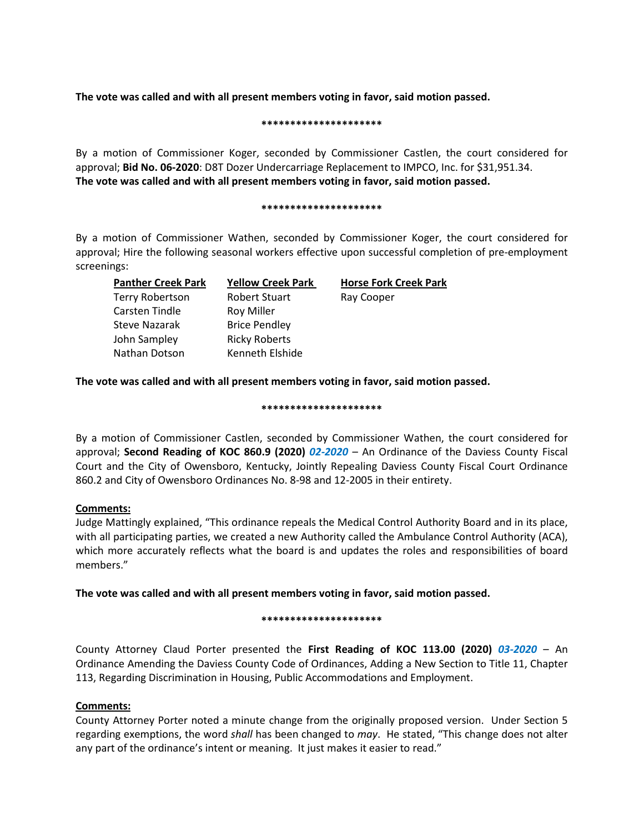**The vote was called and with all present members voting in favor, said motion passed.** 

#### **\*\*\*\*\*\*\*\*\*\*\*\*\*\*\*\*\*\*\*\*\***

By a motion of Commissioner Koger, seconded by Commissioner Castlen, the court considered for approval; **Bid No. 06-2020**: D8T Dozer Undercarriage Replacement to IMPCO, Inc. for \$31,951.34. **The vote was called and with all present members voting in favor, said motion passed.** 

#### **\*\*\*\*\*\*\*\*\*\*\*\*\*\*\*\*\*\*\*\*\***

By a motion of Commissioner Wathen, seconded by Commissioner Koger, the court considered for approval; Hire the following seasonal workers effective upon successful completion of pre-employment screenings:

| <b>Panther Creek Park</b> | <b>Yellow Creek Park</b> | <b>Horse Fork Creek Park</b> |
|---------------------------|--------------------------|------------------------------|
| Terry Robertson           | <b>Robert Stuart</b>     | Ray Cooper                   |
| Carsten Tindle            | <b>Roy Miller</b>        |                              |
| Steve Nazarak             | <b>Brice Pendley</b>     |                              |
| John Sampley              | <b>Ricky Roberts</b>     |                              |
| Nathan Dotson             | Kenneth Elshide          |                              |
|                           |                          |                              |

**The vote was called and with all present members voting in favor, said motion passed.** 

## **\*\*\*\*\*\*\*\*\*\*\*\*\*\*\*\*\*\*\*\*\***

By a motion of Commissioner Castlen, seconded by Commissioner Wathen, the court considered for approval; **Second Reading of KOC 860.9 (2020)** *02-2020* – An Ordinance of the Daviess County Fiscal Court and the City of Owensboro, Kentucky, Jointly Repealing Daviess County Fiscal Court Ordinance 860.2 and City of Owensboro Ordinances No. 8-98 and 12-2005 in their entirety.

## **Comments:**

Judge Mattingly explained, "This ordinance repeals the Medical Control Authority Board and in its place, with all participating parties, we created a new Authority called the Ambulance Control Authority (ACA), which more accurately reflects what the board is and updates the roles and responsibilities of board members."

**The vote was called and with all present members voting in favor, said motion passed.** 

## **\*\*\*\*\*\*\*\*\*\*\*\*\*\*\*\*\*\*\*\*\***

County Attorney Claud Porter presented the **First Reading of KOC 113.00 (2020)** *03-2020* – An Ordinance Amending the Daviess County Code of Ordinances, Adding a New Section to Title 11, Chapter 113, Regarding Discrimination in Housing, Public Accommodations and Employment.

# **Comments:**

County Attorney Porter noted a minute change from the originally proposed version. Under Section 5 regarding exemptions, the word *shall* has been changed to *may*. He stated, "This change does not alter any part of the ordinance's intent or meaning. It just makes it easier to read."